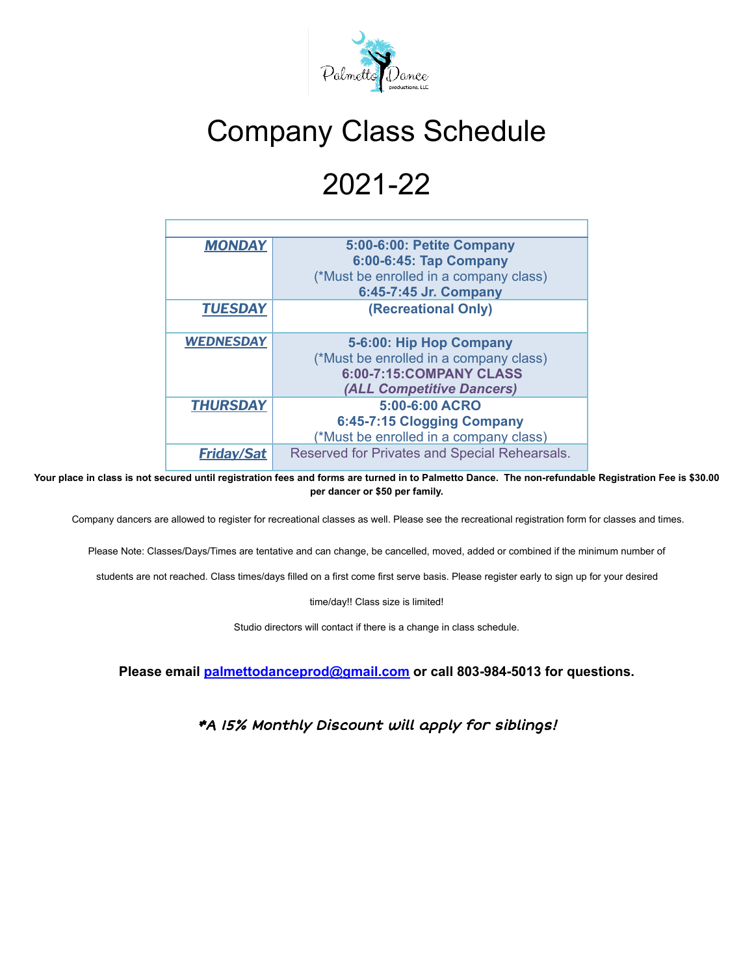

## Company Class Schedule

## 2021-22

| <b>MONDAY</b>     | 5:00-6:00: Petite Company                     |  |  |
|-------------------|-----------------------------------------------|--|--|
|                   | 6:00-6:45: Tap Company                        |  |  |
|                   | (*Must be enrolled in a company class)        |  |  |
|                   | 6:45-7:45 Jr. Company                         |  |  |
| <b>TUESDAY</b>    | (Recreational Only)                           |  |  |
|                   |                                               |  |  |
| <b>WEDNESDAY</b>  | 5-6:00: Hip Hop Company                       |  |  |
|                   | (*Must be enrolled in a company class)        |  |  |
|                   | 6:00-7:15:COMPANY CLASS                       |  |  |
|                   | (ALL Competitive Dancers)                     |  |  |
| <b>THURSDAY</b>   | 5:00-6:00 ACRO                                |  |  |
|                   | 6:45-7:15 Clogging Company                    |  |  |
|                   | (*Must be enrolled in a company class)        |  |  |
| <b>Friday/Sat</b> | Reserved for Privates and Special Rehearsals. |  |  |

Your place in class is not secured until registration fees and forms are turned in to Palmetto Dance. The non-refundable Registration Fee is \$30.00 **per dancer or \$50 per family.**

Company dancers are allowed to register for recreational classes as well. Please see the recreational registration form for classes and times.

Please Note: Classes/Days/Times are tentative and can change, be cancelled, moved, added or combined if the minimum number of

students are not reached. Class times/days filled on a first come first serve basis. Please register early to sign up for your desired

time/day!! Class size is limited!

Studio directors will contact if there is a change in class schedule.

**Please email [palmettodanceprod@gmail.com](mailto:palmettodanceprod@gmail.com) or call 803-984-5013 for questions.**

\*A 15% Monthly Discount will apply for siblings!